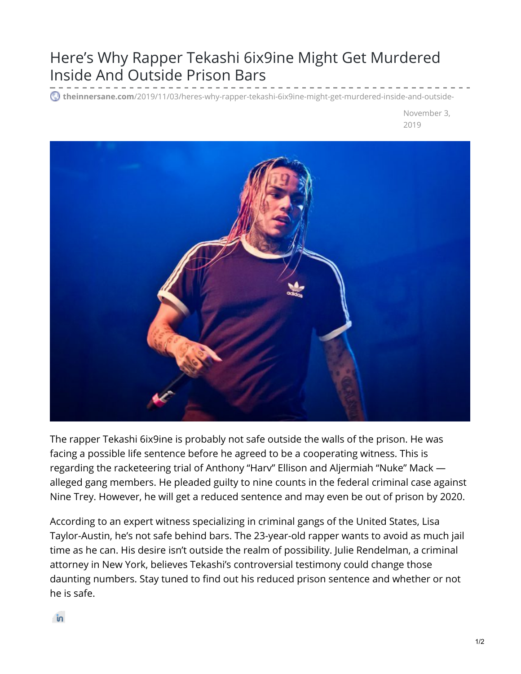## Here's Why Rapper Tekashi 6ix9ine Might Get Murdered Inside And Outside Prison Bars

**theinnersane.com**[/2019/11/03/heres-why-rapper-tekashi-6ix9ine-might-get-murdered-inside-and-outside-](https://theinnersane.com/2019/11/03/heres-why-rapper-tekashi-6ix9ine-might-get-murdered-inside-and-outside-prison-bars/)

November 3, 2019



The rapper Tekashi 6ix9ine is probably not safe outside the walls of the prison. He was facing a possible life sentence before he agreed to be a cooperating witness. This is regarding the racketeering trial of Anthony "Harv" Ellison and Aljermiah "Nuke" Mack alleged gang members. He pleaded guilty to nine counts in the federal criminal case against Nine Trey. However, he will get a reduced sentence and may even be out of prison by 2020.

According to an expert witness specializing in criminal gangs of the United States, Lisa Taylor-Austin, he's not safe behind bars. The 23-year-old rapper wants to avoid as much jail time as he can. His desire isn't outside the realm of possibility. Julie Rendelman, a criminal attorney in New York, believes Tekashi's controversial testimony could change those daunting numbers. Stay tuned to find out his reduced prison sentence and whether or not he is safe.